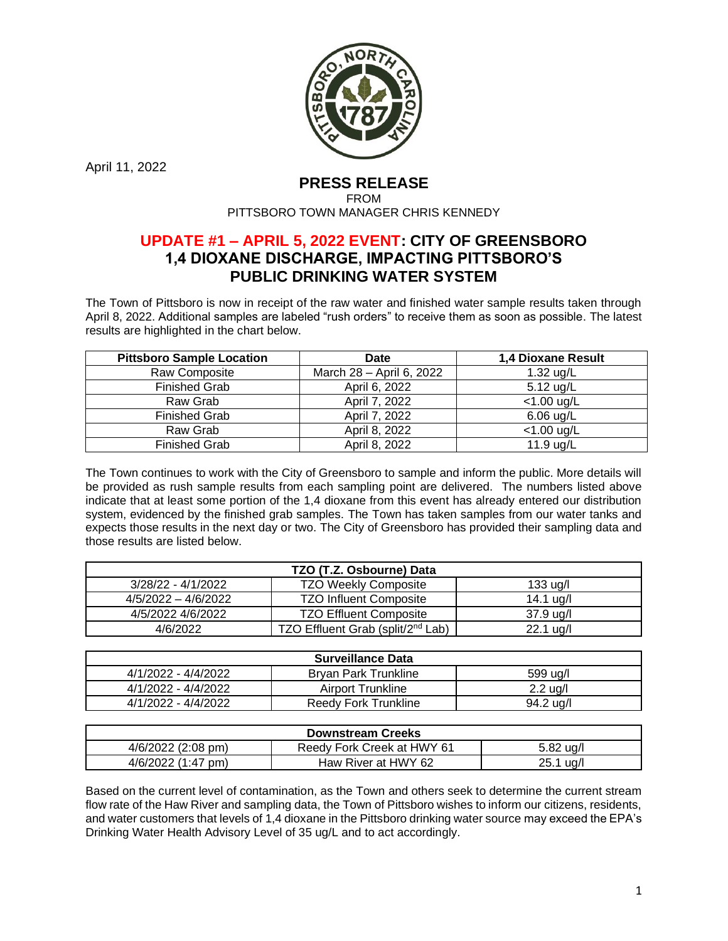

April 11, 2022

## **PRESS RELEASE**

FROM PITTSBORO TOWN MANAGER CHRIS KENNEDY

## **UPDATE #1 – APRIL 5, 2022 EVENT: CITY OF GREENSBORO 1,4 DIOXANE DISCHARGE, IMPACTING PITTSBORO'S PUBLIC DRINKING WATER SYSTEM**

The Town of Pittsboro is now in receipt of the raw water and finished water sample results taken through April 8, 2022. Additional samples are labeled "rush orders" to receive them as soon as possible. The latest results are highlighted in the chart below.

| <b>Pittsboro Sample Location</b> | <b>Date</b>              | 1,4 Dioxane Result |
|----------------------------------|--------------------------|--------------------|
| Raw Composite                    | March 28 - April 6, 2022 | 1.32 ug/L          |
| <b>Finished Grab</b>             | April 6, 2022            | $5.12$ ug/L        |
| Raw Grab                         | April 7, 2022            | $<$ 1.00 ug/L      |
| <b>Finished Grab</b>             | April 7, 2022            | $6.06$ ug/L        |
| Raw Grab                         | April 8, 2022            | $<$ 1.00 ug/L      |
| <b>Finished Grab</b>             | April 8, 2022            | 11.9 ug/L          |

The Town continues to work with the City of Greensboro to sample and inform the public. More details will be provided as rush sample results from each sampling point are delivered. The numbers listed above indicate that at least some portion of the 1,4 dioxane from this event has already entered our distribution system, evidenced by the finished grab samples. The Town has taken samples from our water tanks and expects those results in the next day or two. The City of Greensboro has provided their sampling data and those results are listed below.

| TZO (T.Z. Osbourne) Data |                                               |                     |  |  |
|--------------------------|-----------------------------------------------|---------------------|--|--|
| 3/28/22 - 4/1/2022       | <b>TZO Weekly Composite</b>                   | $133 \text{ u}$ g/l |  |  |
| $4/5/2022 - 4/6/2022$    | <b>TZO Influent Composite</b>                 | 14.1 ug/l           |  |  |
| 4/5/2022 4/6/2022        | <b>TZO Effluent Composite</b>                 | $37.9 \text{ u}g/l$ |  |  |
| 4/6/2022                 | TZO Effluent Grab (split/2 <sup>nd</sup> Lab) | $22.1 \text{ u}g/l$ |  |  |

| <b>Surveillance Data</b> |                             |                     |  |  |
|--------------------------|-----------------------------|---------------------|--|--|
| 4/1/2022 - 4/4/2022      | <b>Bryan Park Trunkline</b> | 599 ug/l            |  |  |
| 4/1/2022 - 4/4/2022      | Airport Trunkline           | $2.2$ ug/l          |  |  |
| 4/1/2022 - 4/4/2022      | <b>Reedy Fork Trunkline</b> | $94.2 \text{ u}g/l$ |  |  |

| <b>Downstream Creeks</b> |                            |                     |  |  |
|--------------------------|----------------------------|---------------------|--|--|
| 4/6/2022 (2:08 pm)       | Reedy Fork Creek at HWY 61 | 5.82 ug/l           |  |  |
| $4/6/2022$ (1:47 pm)     | Haw River at HWY 62        | $25.1 \text{ u}g/l$ |  |  |

Based on the current level of contamination, as the Town and others seek to determine the current stream flow rate of the Haw River and sampling data, the Town of Pittsboro wishes to inform our citizens, residents, and water customers that levels of 1,4 dioxane in the Pittsboro drinking water source may exceed the EPA's Drinking Water Health Advisory Level of 35 ug/L and to act accordingly.